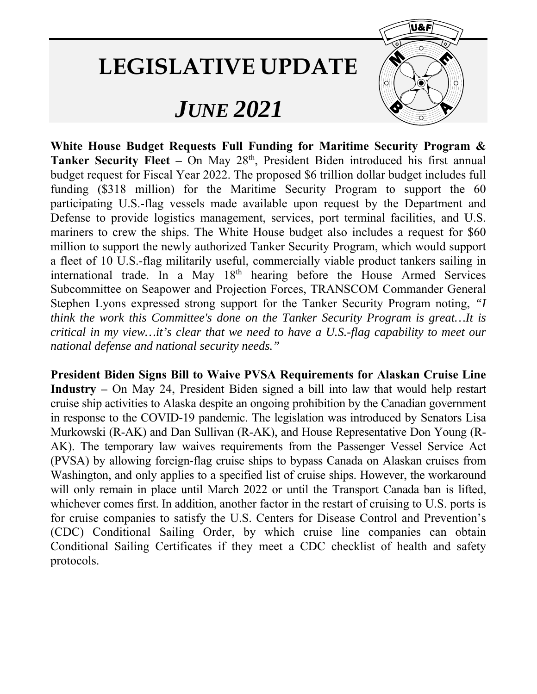## **LEGISLATIVE UPDATE**

## *JUNE 2021*



**White House Budget Requests Full Funding for Maritime Security Program &**  Tanker Security Fleet - On May 28<sup>th</sup>, President Biden introduced his first annual budget request for Fiscal Year 2022. The proposed \$6 trillion dollar budget includes full funding (\$318 million) for the Maritime Security Program to support the 60 participating U.S.-flag vessels made available upon request by the Department and Defense to provide logistics management, services, port terminal facilities, and U.S. mariners to crew the ships. The White House budget also includes a request for \$60 million to support the newly authorized Tanker Security Program, which would support a fleet of 10 U.S.-flag militarily useful, commercially viable product tankers sailing in international trade. In a May 18th hearing before the House Armed Services Subcommittee on Seapower and Projection Forces, TRANSCOM Commander General Stephen Lyons expressed strong support for the Tanker Security Program noting, *"I think the work this Committee's done on the Tanker Security Program is great…It is critical in my view…it's clear that we need to have a U.S.-flag capability to meet our national defense and national security needs."*

**President Biden Signs Bill to Waive PVSA Requirements for Alaskan Cruise Line Industry –** On May 24, President Biden signed a bill into law that would help restart cruise ship activities to Alaska despite an ongoing prohibition by the Canadian government in response to the COVID-19 pandemic. The legislation was introduced by Senators Lisa Murkowski (R-AK) and Dan Sullivan (R-AK), and House Representative Don Young (R-AK). The temporary law waives requirements from the Passenger Vessel Service Act (PVSA) by allowing foreign-flag cruise ships to bypass Canada on Alaskan cruises from Washington, and only applies to a specified list of cruise ships. However, the workaround will only remain in place until March 2022 or until the Transport Canada ban is lifted, whichever comes first. In addition, another factor in the restart of cruising to U.S. ports is for cruise companies to satisfy the U.S. Centers for Disease Control and Prevention's (CDC) Conditional Sailing Order, by which cruise line companies can obtain Conditional Sailing Certificates if they meet a CDC checklist of health and safety protocols.